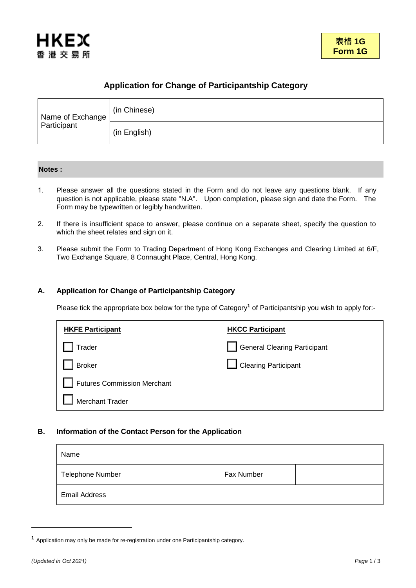

# **Application for Change of Participantship Category**

| Name of Exchange<br>Participant | (in Chinese) |
|---------------------------------|--------------|
|                                 | (in English) |

## **Notes :**

- 1. Please answer all the questions stated in the Form and do not leave any questions blank. If any question is not applicable, please state "N.A". Upon completion, please sign and date the Form. The Form may be typewritten or legibly handwritten.
- 2. If there is insufficient space to answer, please continue on a separate sheet, specify the question to which the sheet relates and sign on it.
- 3. Please submit the Form to Trading Department of Hong Kong Exchanges and Clearing Limited at 6/F, Two Exchange Square, 8 Connaught Place, Central, Hong Kong.

## **A. Application for Change of Participantship Category**

Please tick the appropriate box below for the type of Category**<sup>1</sup>** of Participantship you wish to apply for:-

| <b>HKFE Participant</b>            | <b>HKCC Participant</b>             |
|------------------------------------|-------------------------------------|
| Trader                             | <b>General Clearing Participant</b> |
| <b>Broker</b>                      | <b>Clearing Participant</b>         |
| <b>Futures Commission Merchant</b> |                                     |
| <b>Merchant Trader</b>             |                                     |

## **B. Information of the Contact Person for the Application**

| Name                 |            |  |
|----------------------|------------|--|
| Telephone Number     | Fax Number |  |
| <b>Email Address</b> |            |  |

**<sup>1</sup>** Application may only be made for re-registration under one Participantship category.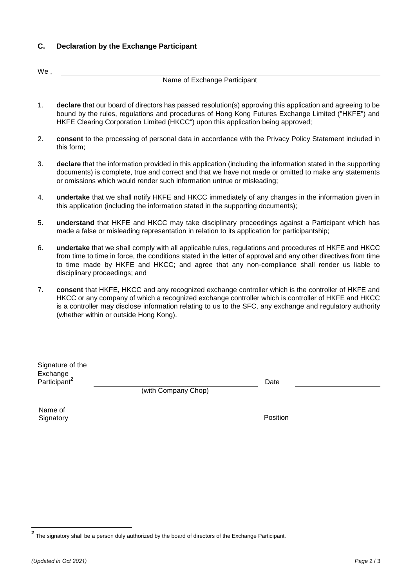## **C. Declaration by the Exchange Participant**

We,

## Name of Exchange Participant

- 1. **declare** that our board of directors has passed resolution(s) approving this application and agreeing to be bound by the rules, regulations and procedures of Hong Kong Futures Exchange Limited ("HKFE") and HKFE Clearing Corporation Limited (HKCC") upon this application being approved;
- 2. **consent** to the processing of personal data in accordance with the Privacy Policy Statement included in this form;
- 3. **declare** that the information provided in this application (including the information stated in the supporting documents) is complete, true and correct and that we have not made or omitted to make any statements or omissions which would render such information untrue or misleading;
- 4. **undertake** that we shall notify HKFE and HKCC immediately of any changes in the information given in this application (including the information stated in the supporting documents);
- 5. **understand** that HKFE and HKCC may take disciplinary proceedings against a Participant which has made a false or misleading representation in relation to its application for participantship;
- 6. **undertake** that we shall comply with all applicable rules, regulations and procedures of HKFE and HKCC from time to time in force, the conditions stated in the letter of approval and any other directives from time to time made by HKFE and HKCC; and agree that any non-compliance shall render us liable to disciplinary proceedings; and
- 7. **consent** that HKFE, HKCC and any recognized exchange controller which is the controller of HKFE and HKCC or any company of which a recognized exchange controller which is controller of HKFE and HKCC is a controller may disclose information relating to us to the SFC, any exchange and regulatory authority (whether within or outside Hong Kong).

| Signature of the<br>Exchange<br>Participant <sup>2</sup> |                     | Date     |  |
|----------------------------------------------------------|---------------------|----------|--|
|                                                          | (with Company Chop) |          |  |
| Name of<br>Signatory                                     |                     | Position |  |

**<sup>2</sup>** The signatory shall be a person duly authorized by the board of directors of the Exchange Participant.